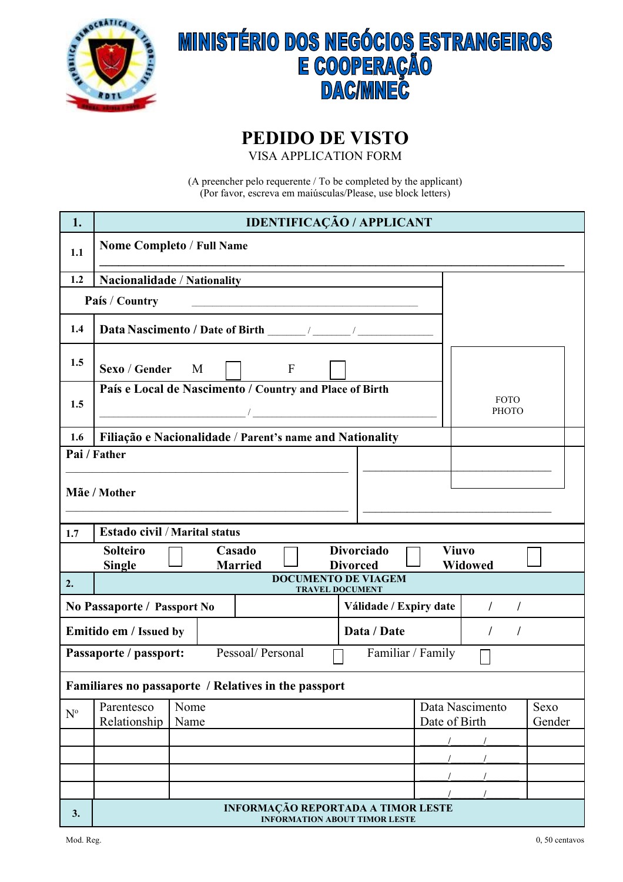

## **MINISTÉRIO DOS NEGÓCIOS ESTRANGEIROS<br>E COOPERAÇÃO<br>DAC/MNEC**

## **PEDIDO DE VISTO**

VISA APPLICATION FORM

(A preencher pelo requerente / To be completed by the applicant) (Por favor, escreva em maiúsculas/Please, use block letters)

| 1.                                                               | <b>IDENTIFICAÇÃO / APPLICANT</b>                                                                         |      |  |                          |             |                                                      |                      |                 |        |
|------------------------------------------------------------------|----------------------------------------------------------------------------------------------------------|------|--|--------------------------|-------------|------------------------------------------------------|----------------------|-----------------|--------|
| 1.1                                                              | <b>Nome Completo / Full Name</b>                                                                         |      |  |                          |             |                                                      |                      |                 |        |
| 1.2                                                              | Nacionalidade / Nationality                                                                              |      |  |                          |             |                                                      |                      |                 |        |
|                                                                  | País / Country                                                                                           |      |  |                          |             |                                                      |                      |                 |        |
| 1.4                                                              |                                                                                                          |      |  |                          |             |                                                      |                      |                 |        |
| 1.5                                                              | Sexo / Gender<br>$\mathbf{F}$<br>M                                                                       |      |  |                          |             |                                                      |                      |                 |        |
|                                                                  | País e Local de Nascimento / Country and Place of Birth                                                  |      |  |                          |             |                                                      | <b>FOTO</b>          |                 |        |
| 1.5                                                              | $\mathcal{L} = \mathcal{L} \mathcal{L}$ . The contract of $\mathcal{L}$ is the contract of $\mathcal{L}$ |      |  |                          |             |                                                      | <b>PHOTO</b>         |                 |        |
| 1.6                                                              | Filiação e Nacionalidade / Parent's name and Nationality                                                 |      |  |                          |             |                                                      |                      |                 |        |
|                                                                  | Pai / Father                                                                                             |      |  |                          |             |                                                      |                      |                 |        |
|                                                                  |                                                                                                          |      |  |                          |             |                                                      |                      |                 |        |
|                                                                  | Mãe / Mother                                                                                             |      |  |                          |             |                                                      |                      |                 |        |
|                                                                  |                                                                                                          |      |  |                          |             |                                                      |                      |                 |        |
| 1.7                                                              | <b>Estado civil / Marital status</b>                                                                     |      |  |                          |             |                                                      |                      |                 |        |
|                                                                  | <b>Solteiro</b><br><b>Single</b>                                                                         |      |  | Casado<br><b>Married</b> |             | <b>Divorciado</b><br><b>Divorced</b>                 | <b>Viuvo</b>         | Widowed         |        |
| 2.                                                               |                                                                                                          |      |  |                          |             | <b>DOCUMENTO DE VIAGEM</b><br><b>TRAVEL DOCUMENT</b> |                      |                 |        |
|                                                                  | No Passaporte / Passport No                                                                              |      |  |                          |             | Válidade / Expiry date                               | $\prime$<br>$\prime$ |                 |        |
|                                                                  | Emitido em / Issued by                                                                                   |      |  |                          | Data / Date |                                                      |                      |                 |        |
| Pessoal/ Personal<br>Familiar / Family<br>Passaporte / passport: |                                                                                                          |      |  |                          |             |                                                      |                      |                 |        |
| Familiares no passaporte / Relatives in the passport             |                                                                                                          |      |  |                          |             |                                                      |                      |                 |        |
| $\mathbf{N}^{\text{o}}$                                          | Parentesco                                                                                               | Nome |  |                          |             |                                                      |                      | Data Nascimento | Sexo   |
|                                                                  | Relationship                                                                                             | Name |  |                          |             |                                                      | Date of Birth        |                 | Gender |
|                                                                  |                                                                                                          |      |  |                          |             |                                                      |                      |                 |        |
|                                                                  |                                                                                                          |      |  |                          |             |                                                      |                      |                 |        |
|                                                                  |                                                                                                          |      |  |                          |             |                                                      |                      |                 |        |
| 3.                                                               |                                                                                                          |      |  |                          |             | <b>INFORMAÇÃO REPORTADA A TIMOR LESTE</b>            |                      |                 |        |
|                                                                  | <b>INFORMATION ABOUT TIMOR LESTE</b>                                                                     |      |  |                          |             |                                                      |                      |                 |        |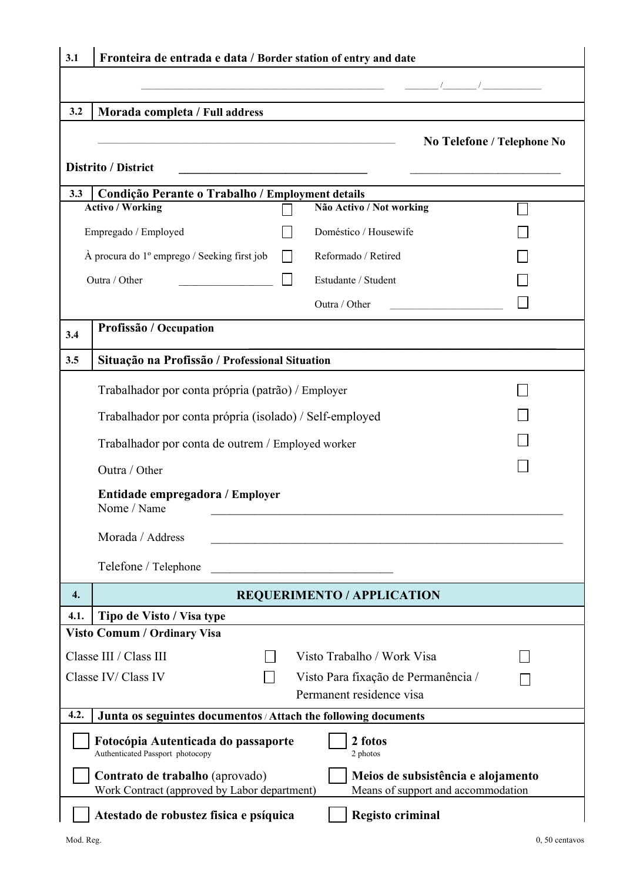| 3.1                                                                                                                                                         | Fronteira de entrada e data / Border station of entry and date  |  |                                                               |                            |  |  |
|-------------------------------------------------------------------------------------------------------------------------------------------------------------|-----------------------------------------------------------------|--|---------------------------------------------------------------|----------------------------|--|--|
|                                                                                                                                                             |                                                                 |  |                                                               |                            |  |  |
| 3.2                                                                                                                                                         | Morada completa / Full address                                  |  |                                                               |                            |  |  |
|                                                                                                                                                             |                                                                 |  |                                                               |                            |  |  |
|                                                                                                                                                             |                                                                 |  |                                                               | No Telefone / Telephone No |  |  |
|                                                                                                                                                             | <b>Distrito / District</b>                                      |  | <u> 1989 - Johann Stein, mars and de Britannich (b. 1989)</u> |                            |  |  |
| 3.3                                                                                                                                                         | Condição Perante o Trabalho / Employment details                |  |                                                               |                            |  |  |
| <b>Activo / Working</b><br>Não Activo / Not working                                                                                                         |                                                                 |  |                                                               |                            |  |  |
|                                                                                                                                                             | Empregado / Employed                                            |  | Doméstico / Housewife                                         |                            |  |  |
|                                                                                                                                                             | $\hat{A}$ procura do 1 <sup>°</sup> emprego / Seeking first job |  | Reformado / Retired                                           |                            |  |  |
| Outra / Other                                                                                                                                               |                                                                 |  | Estudante / Student                                           |                            |  |  |
|                                                                                                                                                             |                                                                 |  | Outra / Other                                                 |                            |  |  |
| 3.4                                                                                                                                                         | Profissão / Occupation                                          |  |                                                               |                            |  |  |
|                                                                                                                                                             |                                                                 |  |                                                               |                            |  |  |
| 3.5                                                                                                                                                         | Situação na Profissão / Professional Situation                  |  |                                                               |                            |  |  |
|                                                                                                                                                             | Trabalhador por conta própria (patrão) / Employer               |  |                                                               |                            |  |  |
|                                                                                                                                                             | Trabalhador por conta própria (isolado) / Self-employed         |  |                                                               |                            |  |  |
|                                                                                                                                                             | Trabalhador por conta de outrem / Employed worker               |  |                                                               |                            |  |  |
|                                                                                                                                                             | Outra / Other                                                   |  |                                                               |                            |  |  |
|                                                                                                                                                             | Entidade empregadora / Employer<br>Nome / Name                  |  |                                                               |                            |  |  |
|                                                                                                                                                             | Morada / Address                                                |  |                                                               |                            |  |  |
|                                                                                                                                                             | Telefone / Telephone                                            |  |                                                               |                            |  |  |
| 4.                                                                                                                                                          | <b>REQUERIMENTO / APPLICATION</b>                               |  |                                                               |                            |  |  |
| 4.1.                                                                                                                                                        | Tipo de Visto / Visa type                                       |  |                                                               |                            |  |  |
|                                                                                                                                                             | <b>Visto Comum / Ordinary Visa</b>                              |  |                                                               |                            |  |  |
|                                                                                                                                                             | Classe III / Class III                                          |  | Visto Trabalho / Work Visa                                    |                            |  |  |
|                                                                                                                                                             | Classe IV/ Class IV                                             |  | Visto Para fixação de Permanência /                           |                            |  |  |
| Permanent residence visa                                                                                                                                    |                                                                 |  |                                                               |                            |  |  |
| 4.2.<br>Junta os seguintes documentos / Attach the following documents                                                                                      |                                                                 |  |                                                               |                            |  |  |
| Fotocópia Autenticada do passaporte<br>2 fotos<br>Authenticated Passport photocopy<br>2 photos                                                              |                                                                 |  |                                                               |                            |  |  |
| Contrato de trabalho (aprovado)<br>Meios de subsistência e alojamento<br>Work Contract (approved by Labor department)<br>Means of support and accommodation |                                                                 |  |                                                               |                            |  |  |
|                                                                                                                                                             | Atestado de robustez fisica e psíquica                          |  | <b>Registo criminal</b>                                       |                            |  |  |